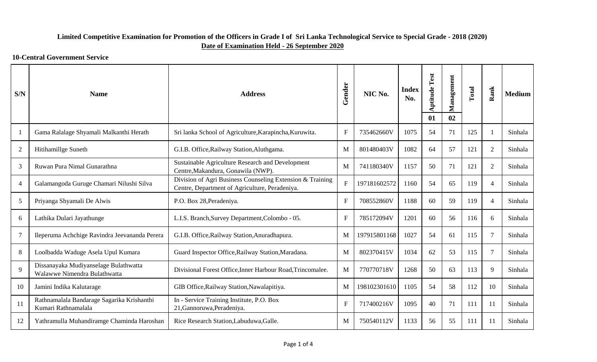| S/N            | <b>Name</b>                                                           | <b>Address</b>                                                                                              | Gender       | NIC No.      | <b>Index</b><br>No. | <b>Aptitude Test</b><br>01 | Management<br>02 | Total | Rank           | <b>Medium</b> |
|----------------|-----------------------------------------------------------------------|-------------------------------------------------------------------------------------------------------------|--------------|--------------|---------------------|----------------------------|------------------|-------|----------------|---------------|
| $\overline{1}$ | Gama Ralalage Shyamali Malkanthi Herath                               | Sri lanka School of Agriculture, Karapincha, Kuruwita.                                                      | $\mathbf{F}$ | 735462660V   | 1075                | 54                         | 71               | 125   |                | Sinhala       |
| $\overline{2}$ | Hitihamillge Suneth                                                   | G.I.B. Office, Railway Station, Aluthgama.                                                                  | M            | 801480403V   | 1082                | 64                         | 57               | 121   | 2              | Sinhala       |
| 3              | Ruwan Pura Nimal Gunarathna                                           | Sustainable Agriculture Research and Development<br>Centre, Makandura, Gonawila (NWP).                      | M            | 741180340V   | 1157                | 50                         | 71               | 121   | 2              | Sinhala       |
| $\overline{4}$ | Galamangoda Guruge Chamari Nilushi Silva                              | Division of Agri Business Counseling Extension & Training<br>Centre, Department of Agriculture, Peradeniya. | $\mathbf F$  | 197181602572 | 1160                | 54                         | 65               | 119   | $\overline{4}$ | Sinhala       |
| 5              | Priyanga Shyamali De Alwis                                            | P.O. Box 28, Peradeniya.                                                                                    | $\mathbf{F}$ | 708552860V   | 1188                | 60                         | 59               | 119   | $\overline{4}$ | Sinhala       |
| 6              | Lathika Dulari Jayathunge                                             | L.I.S. Branch, Survey Department, Colombo - 05.                                                             | $\mathbf{F}$ | 785172094V   | 1201                | 60                         | 56               | 116   | 6              | Sinhala       |
| $\overline{7}$ | Ileperuma Achchige Ravindra Jeevananda Perera                         | G.I.B. Office, Railway Station, Anuradhapura.                                                               | M            | 197915801168 | 1027                | 54                         | 61               | 115   | $\tau$         | Sinhala       |
| 8              | Loolbadda Waduge Asela Upul Kumara                                    | Guard Inspector Office, Railway Station, Maradana.                                                          | M            | 802370415V   | 1034                | 62                         | 53               | 115   | 7              | Sinhala       |
| $\mathbf{Q}$   | Dissanayaka Mudiyanselage Bulathwatta<br>Walawwe Nimendra Bulathwatta | Divisional Forest Office, Inner Harbour Road, Trincomalee.                                                  | M            | 770770718V   | 1268                | 50                         | 63               | 113   | 9              | Sinhala       |
| 10             | Jamini Indika Kalutarage                                              | GIB Office, Railway Station, Nawalapitiya.                                                                  | M            | 198102301610 | 1105                | 54                         | 58               | 112   | 10             | Sinhala       |
| 11             | Rathnamalala Bandarage Sagarika Krishanthi<br>Kumari Rathnamalala     | In - Service Training Institute, P.O. Box<br>21, Gannoruwa, Peradeniya.                                     | $\mathbf F$  | 717400216V   | 1095                | 40                         | 71               | 111   | 11             | Sinhala       |
| 12             | Yathramulla Muhandiramge Chaminda Haroshan                            | Rice Research Station, Labuduwa, Galle.                                                                     | M            | 750540112V   | 1133                | 56                         | 55               | 111   | 11             | Sinhala       |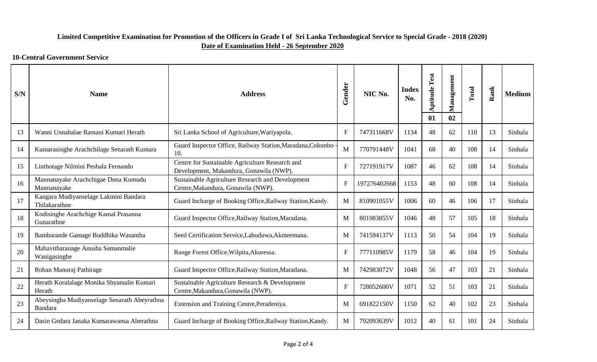| S/N | <b>Name</b>                                             | <b>Address</b>                                                                             | Gender       | NIC No.      | <b>Index</b><br>No. | <b>Aptitude Test</b><br>01 | Management<br>02 | Total | Rank | <b>Medium</b> |
|-----|---------------------------------------------------------|--------------------------------------------------------------------------------------------|--------------|--------------|---------------------|----------------------------|------------------|-------|------|---------------|
| 13  | Wanni Unnahalae Ramani Kumari Herath                    | Sri Lanka School of Agriculture, Wariyapola.                                               | F            | 747311668V   | 1134                | 48                         | 62               | 110   | 13   | Sinhala       |
| 14  | Kumarasinghe Arachchilage Senarath Kumara               | Guard Inspector Office, Railway Station, Maradana, Colombo<br>10.                          | M            | 770791448V   | 1041                | 68                         | 40               | 108   | 14   | Sinhala       |
| 15  | Linthotage Nilmini Peshala Fernando                     | Centre for Sustainable Agriculture Research and<br>Development, Makandura, Gonawila (NWP). | $\mathbf{F}$ | 727191917V   | 1087                | 46                         | 62               | 108   | 14   | Sinhala       |
| 16  | Mannanayake Arachchigae Dona Kumudu<br>Mannanayake      | Sustainable Agriculture Research and Development<br>Centre, Makandura, Gonawila (NWP).     | $\mathbf{F}$ | 197276402668 | 1153                | 48                         | 60               | 108   | 14   | Sinhala       |
| 17  | Kangara Mudiyanselage Lakmini Bandara<br>Thilakarathne  | Guard Incharge of Booking Office, Railway Station, Kandy.                                  | M            | 810901055V   | 1006                | 60                         | 46               | 106   | 17   | Sinhala       |
| 18  | Kodisinghe Arachchige Kamal Prasanna<br>Gunarathne      | Guard Inspector Office, Railway Station, Maradana.                                         | M            | 801983855V   | 1046                | 48                         | 57               | 105   | 18   | Sinhala       |
| 19  | Bambarande Gamage Buddhika Wasantha                     | Seed Certification Service, Labuduwa, Akmeemana.                                           | M            | 741594137V   | 1113                | 50                         | 54               | 104   | 19   | Sinhala       |
| 20  | Mahavitharanage Anusha Samanmalie<br>Wanigasinghe       | Range Forest Office, Wilpita, Akuressa.                                                    | $F_{\rm}$    | 777110985V   | 1179                | 58                         | 46               | 104   | 19   | Sinhala       |
| 21  | Rohan Manoraj Pathirage                                 | Guard Inspector Office, Railway Station, Maradana.                                         | M            | 742983072V   | 1048                | 56                         | 47               | 103   | 21   | Sinhala       |
| 22  | Herath Koralalage Monika Shyamalie Kumari<br>Herath     | Sustainable Agriculture Research & Development<br>Centre, Makandura, Gonawila (NWP).       | $\mathbf{F}$ | 728052600V   | 1071                | 52                         | 51               | 103   | 21   | Sinhala       |
| 23  | Abeysingha Mudiyanselage Senarath Abeyrathna<br>Bandara | Extension and Training Centre, Peradeniya.                                                 | M            | 691822150V   | 1150                | 62                         | 40               | 102   | 23   | Sinhala       |
| 24  | Dasin Gedara Janaka Kumarawansa Aberathna               | Guard Incharge of Booking Office, Railway Station, Kandy.                                  | $\mathbf{M}$ | 792093639V   | 1012                | 40                         | 61               | 101   | 24   | Sinhala       |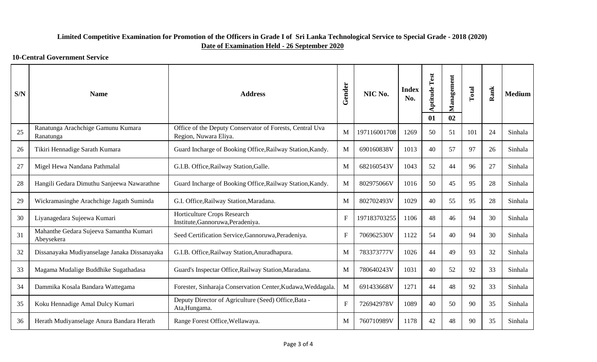| S/N | <b>Name</b>                                           | <b>Address</b>                                                                    | Gender       | NIC No.      | <b>Index</b><br>No. | <b>Aptitude Test</b><br>01 | Management<br>02 | Total | Rank | <b>Medium</b> |
|-----|-------------------------------------------------------|-----------------------------------------------------------------------------------|--------------|--------------|---------------------|----------------------------|------------------|-------|------|---------------|
| 25  | Ranatunga Arachchige Gamunu Kumara<br>Ranatunga       | Office of the Deputy Conservator of Forests, Central Uva<br>Region, Nuwara Eliya. | M            | 197116001708 | 1269                | 50                         | 51               | 101   | 24   | Sinhala       |
| 26  | Tikiri Hennadige Sarath Kumara                        | Guard Incharge of Booking Office, Railway Station, Kandy.                         | M            | 690160838V   | 1013                | 40                         | 57               | 97    | 26   | Sinhala       |
| 27  | Migel Hewa Nandana Pathmalal                          | G.I.B. Office, Railway Station, Galle.                                            | M            | 682160543V   | 1043                | 52                         | 44               | 96    | 27   | Sinhala       |
| 28  | Hangili Gedara Dimuthu Sanjeewa Nawarathne            | Guard Incharge of Booking Office, Railway Station, Kandy.                         | M            | 802975066V   | 1016                | 50                         | 45               | 95    | 28   | Sinhala       |
| 29  | Wickramasinghe Arachchige Jagath Suminda              | G.I. Office, Railway Station, Maradana.                                           | M            | 802702493V   | 1029                | 40                         | 55               | 95    | 28   | Sinhala       |
| 30  | Liyanagedara Sujeewa Kumari                           | Horticulture Crops Research<br>Institute, Gannoruwa, Peradeniya.                  | $\mathbf{F}$ | 197183703255 | 1106                | 48                         | 46               | 94    | 30   | Sinhala       |
| 31  | Mahanthe Gedara Sujeeva Samantha Kumari<br>Abeysekera | Seed Certification Service, Gannoruwa, Peradeniya.                                | $\mathbf{F}$ | 706962530V   | 1122                | 54                         | 40               | 94    | 30   | Sinhala       |
| 32  | Dissanayaka Mudiyanselage Janaka Dissanayaka          | G.I.B. Office, Railway Station, Anuradhapura.                                     | M            | 783373777V   | 1026                | 44                         | 49               | 93    | 32   | Sinhala       |
| 33  | Magama Mudalige Buddhike Sugathadasa                  | Guard's Inspectar Office, Railway Station, Maradana.                              | M            | 780640243V   | 1031                | 40                         | 52               | 92    | 33   | Sinhala       |
| 34  | Dammika Kosala Bandara Wattegama                      | Forester, Sinharaja Conservation Center, Kudawa, Weddagala.                       | M            | 691433668V   | 1271                | 44                         | 48               | 92    | 33   | Sinhala       |
| 35  | Koku Hennadige Amal Dulcy Kumari                      | Deputy Director of Agriculture (Seed) Office, Bata -<br>Ata, Hungama.             | $\mathbf{F}$ | 726942978V   | 1089                | 40                         | 50               | 90    | 35   | Sinhala       |
| 36  | Herath Mudiyanselage Anura Bandara Herath             | Range Forest Office, Wellawaya.                                                   | M            | 760710989V   | 1178                | 42                         | 48               | 90    | 35   | Sinhala       |